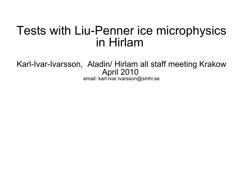# Tests with Liu-Penner ice microphysics in Hirlam

Karl-Ivar-Ivarsson, Aladin/ Hirlam all staff meeting Krakow April 2010 email: karl-ivar.ivarsson@smhi.se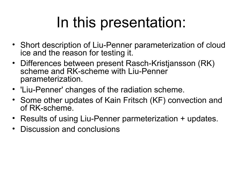# In this presentation:

- Short description of Liu-Penner parameterization of cloud ice and the reason for testing it.
- Differences between present Rasch-Kristjansson (RK) scheme and RK-scheme with Liu-Penner parameterization.
- 'Liu-Penner' changes of the radiation scheme.
- Some other updates of Kain Fritsch (KF) convection and of RK-scheme.
- Results of using Liu-Penner parmeterization + updates.
- Discussion and conclusions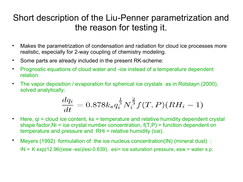# Short description of the Liu-Penner parametrization and the reason for testing it.

- Makes the parametrization of condensation and radiation for cloud ice processes more realistic, especially for 2-way coupling of chemistry modeling.
- Some parts are already included in the present RK-scheme:
- Prognostic equations of cloud water and -ice instead of a temperature dependent relation.
- The vapor deposition / evaporation for spherical ice crystals as in Rotstayn (2000), solved analytically:

$$
\frac{dq_i}{dt} = 0.878 k_s q_i^{\frac{1}{3}} N_i^{\frac{2}{3}} f(T, P) (RH_i - 1)
$$

- Here, gi = cloud ice content, ks = temperature and relative humidity dependent crystal shape factor, Ni = ice crystal number concentration,  $f(T, P)$  = function dependent on temperature and pressure and RHi = relative humidity (ice).
- Meyers (1992) formulation of the ice nucleus concentration(IN) (mineral dust) :  $IN = K exp(12.96((esw - esi)/esi - 0.639)$ , esi= ice saturation pressure, esw = water s.p.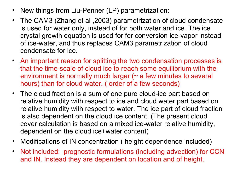- New things from Liu-Penner (LP) parametrization:
- The CAM3 (Zhang et al , 2003) parametrization of cloud condensate<br>is used for water only jnstead of for both water and ice The ice is used for water only, instead of for both water and ice. The ice crystal growth equation is used for for conversion ice-vapor instead of ice-water, and thus replaces CAM3 parametrization of cloud condensate for ice.
- An important reason for splitting the two condensation processes is that the time-scale of cloud ice to reach some equilibrium with the environment is normally much larger  $($   $\sim$  a few minutes to several hours) than for cloud water. ( order of a few seconds)
- The cloud fraction is a sum of one pure cloud-ice part based on relative humidity with respect to ice and cloud water part based on relative humidity with respect to water. The ice part of cloud fraction is also dependent on the cloud ice content. (The present cloud cover calculation is based on a mixed ice-water relative humidity, dependent on the cloud ice+water content)
- Modifications of IN concentration ( height dependence included)
- Not included: prognostic formulations (including advection) for CCN and IN. Instead they are dependent on location and of height.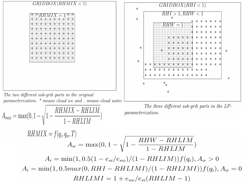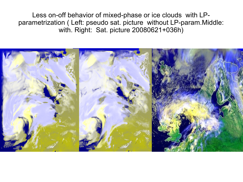Less on-off behavior of mixed-phase or ice clouds with LPparametrization ( Left: pseudo sat. picture without LP-param.Middle: with. Right: Sat. picture 20080621+036h)

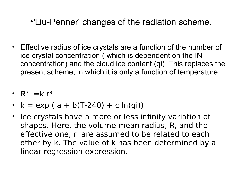# •'Liu-Penner' changes of the radiation scheme.

- Effective radius of ice crystals are a function of the number of ice crystal concentration ( which is dependent on the IN concentration) and the cloud ice content (qi) This replaces the present scheme, in which it is only a function of temperature.
- $R^3$  =k  $r^3$
- $k = exp(a + b(T-240) + c ln(qi))$
- Ice crystals have a more or less infinity variation of shapes. Here, the volume mean radius, R, and the effective one, r are assumed to be related to each other by k. The value of k has been determined by a linear regression expression.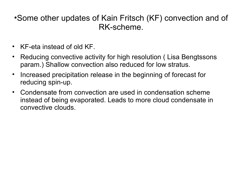#### •Some other updates of Kain Fritsch (KF) convection and of RK-scheme.

- KF-eta instead of old KF.
- Reducing convective activity for high resolution ( Lisa Bengtssons param.) Shallow convection also reduced for low stratus.
- Increased precipitation release in the beginning of forecast for reducing spin-up.
- Condensate from convection are used in condensation scheme instead of being evaporated. Leads to more cloud condensate in convective clouds.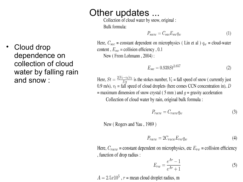Cloud drop dependence on collection of cloud water by falling rain and snow:

## Other updates ...

Collection of cloud water by snow, original : Bulk formula:

$$
P_{sacw} = C_{sac} E_{sw} q_w \tag{1}
$$

Here,  $C_{sac}$  = constant dependent on microphysics (Lin et al )  $q_w$  = cloud-water content,  $E_{sw}$  = collision efficiency, 0.1

New (From Lohmann, 2004):

$$
E_{sw} = 0.939St^{2.657} \tag{2}
$$

Here,  $St = \frac{2(V_t - v_t)v_t}{Da}$  is the stokes number,  $V_t$  = fall speed of snow ( currently just 0.9 m/s),  $v_t$  = fall speed of cloud droplets (here comes CCN concentration in), D = maximum dimension of snow crystal (5 mm) and  $g$  = gravity acceleration Collection of cloud water by rain, original bulk formula :

$$
P_{racw} = C_{racw} q_w \tag{3}
$$

New (Rogers and Yau, 1989)

$$
P_{racw} = 2C_{racw} E_{rw} q_w \tag{4}
$$

Here,  $C_{racw}$  = constant dependent on microphysics, etc  $E_{rw}$  = collision efficiency , function of drop radius :

$$
E_{rw} = \frac{e^{Ar} - 1}{e^{Ar} + 1} \tag{5}
$$

 $A = 2.5x10^5$ , r = mean cloud droplet radius, m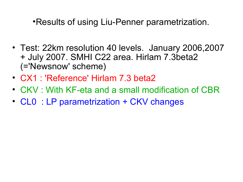•Results of using Liu-Penner parametrization.

- Test: 22km resolution 40 levels. January 2006,2007 + July 2007. SMHI C22 area. Hirlam 7.3beta2 (='Newsnow' scheme)
- CX1 : 'Reference' Hirlam 7.3 beta2
- CKV : With KF-eta and a small modification of CBR
- CL0 : LP parametrization + CKV changes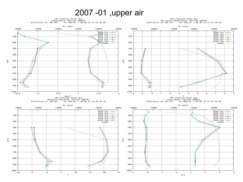## 2007 -01 ,upper air

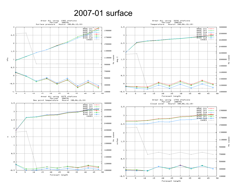#### 2007-01 surface

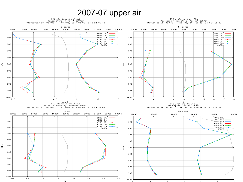#### 2007-07 upper air



 $\alpha$ 

 $\mathcal{P}$ 

 $\mathcal{R}$ 

 $\mathbf{4}$ 

5.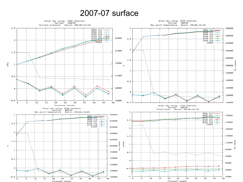#### 2007-07 surface

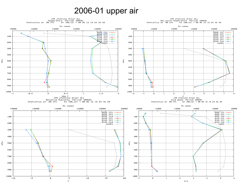#### 2006-01 upper air

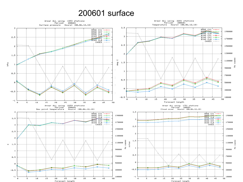#### 200601 surface

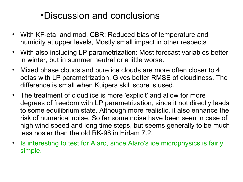# •Discussion and conclusions

- With KF-eta and mod. CBR: Reduced bias of temperature and humidity at upper levels, Mostly small impact in other respects
- With also including LP parametrization: Most forecast variables better in winter, but in summer neutral or a little worse.
- Mixed phase clouds and pure ice clouds are more often closer to 4 octas with LP parametrization. Gives better RMSE of cloudiness. The difference is small when Kuipers skill score is used.
- The treatment of cloud ice is more 'explicit' and allow for more degrees of freedom with LP parametrization, since it not directly leads to some equilibrium state. Although more realistic, it also enhance the risk of numerical noise. So far some noise have been seen in case of high wind speed and long time steps, but seems generally to be much less nosier than the old RK-98 in Hirlam 7.2.
- Is interesting to test for Alaro, since Alaro's ice microphysics is fairly simple.